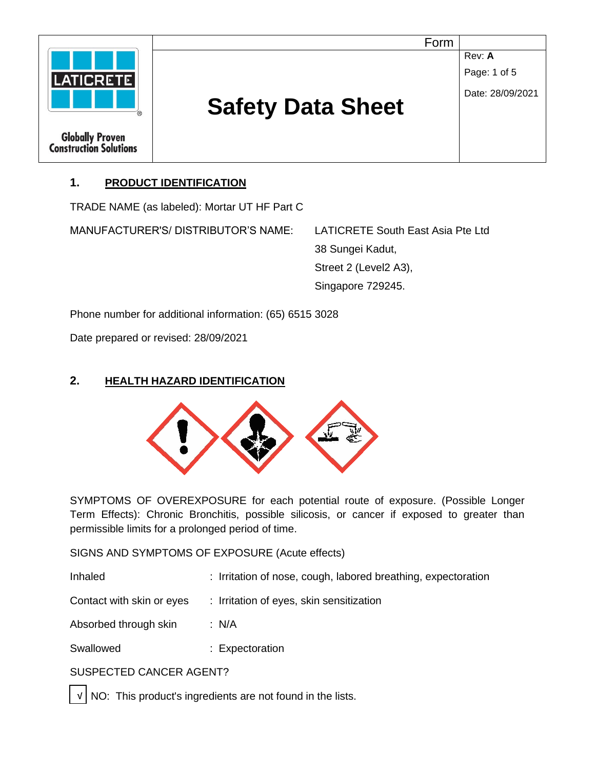

# **1. PRODUCT IDENTIFICATION**

TRADE NAME (as labeled): Mortar UT HF Part C

MANUFACTURER'S/ DISTRIBUTOR'S NAME: LATICRETE South East Asia Pte Ltd

38 Sungei Kadut, Street 2 (Level2 A3), Singapore 729245.

Phone number for additional information: (65) 6515 3028

Date prepared or revised: 28/09/2021

## **2. HEALTH HAZARD IDENTIFICATION**



SYMPTOMS OF OVEREXPOSURE for each potential route of exposure. (Possible Longer Term Effects): Chronic Bronchitis, possible silicosis, or cancer if exposed to greater than permissible limits for a prolonged period of time.

SIGNS AND SYMPTOMS OF EXPOSURE (Acute effects)

| Inhaled | : Irritation of nose, cough, labored breathing, expectoration |
|---------|---------------------------------------------------------------|
|---------|---------------------------------------------------------------|

Contact with skin or eyes : Irritation of eyes, skin sensitization

Absorbed through skin : N/A

Swallowed : Expectoration

## SUSPECTED CANCER AGENT?

NO: This product's ingredients are not found in the lists.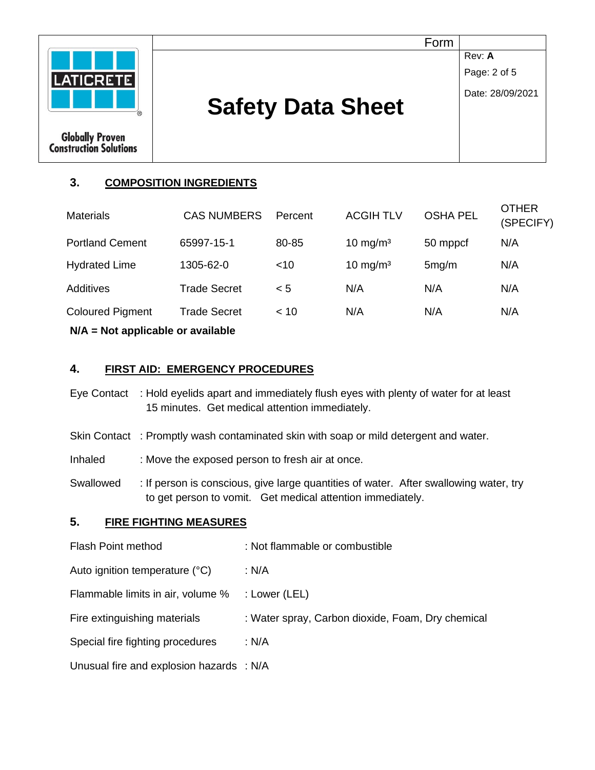

# **3. COMPOSITION INGREDIENTS**

| $N/A$ = Not applicable or available |                     |         |                      |                 |                           |
|-------------------------------------|---------------------|---------|----------------------|-----------------|---------------------------|
| <b>Coloured Pigment</b>             | <b>Trade Secret</b> | < 10    | N/A                  | N/A             | N/A                       |
| Additives                           | <b>Trade Secret</b> | < 5     | N/A                  | N/A             | N/A                       |
| <b>Hydrated Lime</b>                | 1305-62-0           | $<$ 10  | 10 mg/m <sup>3</sup> | 5mg/m           | N/A                       |
| <b>Portland Cement</b>              | 65997-15-1          | 80-85   | 10 mg/m <sup>3</sup> | 50 mppcf        | N/A                       |
| <b>Materials</b>                    | <b>CAS NUMBERS</b>  | Percent | <b>ACGIH TLV</b>     | <b>OSHA PEL</b> | <b>OTHER</b><br>(SPECIFY) |

## **4. FIRST AID: EMERGENCY PROCEDURES**

- Eye Contact : Hold eyelids apart and immediately flush eyes with plenty of water for at least 15 minutes. Get medical attention immediately.
- Skin Contact : Promptly wash contaminated skin with soap or mild detergent and water.
- Inhaled : Move the exposed person to fresh air at once.
- Swallowed : If person is conscious, give large quantities of water. After swallowing water, try to get person to vomit. Get medical attention immediately.

#### **5. FIRE FIGHTING MEASURES**

| <b>Flash Point method</b>                | : Not flammable or combustible                    |
|------------------------------------------|---------------------------------------------------|
| Auto ignition temperature (°C)           | : N/A                                             |
| Flammable limits in air, volume %        | : Lower (LEL)                                     |
| Fire extinguishing materials             | : Water spray, Carbon dioxide, Foam, Dry chemical |
| Special fire fighting procedures         | : N/A                                             |
| Unusual fire and explosion hazards : N/A |                                                   |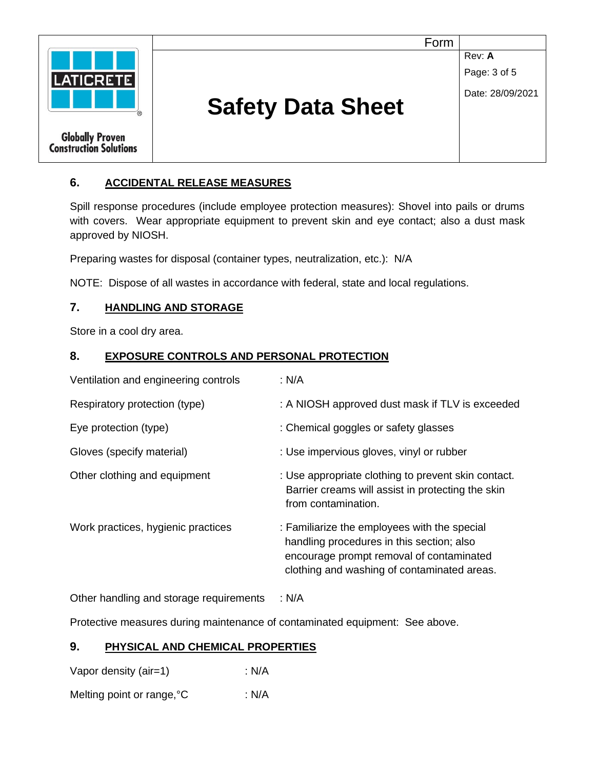

# **6. ACCIDENTAL RELEASE MEASURES**

Spill response procedures (include employee protection measures): Shovel into pails or drums with covers. Wear appropriate equipment to prevent skin and eye contact; also a dust mask approved by NIOSH.

Preparing wastes for disposal (container types, neutralization, etc.): N/A

NOTE: Dispose of all wastes in accordance with federal, state and local regulations.

## **7. HANDLING AND STORAGE**

Store in a cool dry area.

#### **8. EXPOSURE CONTROLS AND PERSONAL PROTECTION**

| Ventilation and engineering controls | : N/A                                                                                                                                                                                |
|--------------------------------------|--------------------------------------------------------------------------------------------------------------------------------------------------------------------------------------|
| Respiratory protection (type)        | : A NIOSH approved dust mask if TLV is exceeded                                                                                                                                      |
| Eye protection (type)                | : Chemical goggles or safety glasses                                                                                                                                                 |
| Gloves (specify material)            | : Use impervious gloves, vinyl or rubber                                                                                                                                             |
| Other clothing and equipment         | : Use appropriate clothing to prevent skin contact.<br>Barrier creams will assist in protecting the skin<br>from contamination.                                                      |
| Work practices, hygienic practices   | : Familiarize the employees with the special<br>handling procedures in this section; also<br>encourage prompt removal of contaminated<br>clothing and washing of contaminated areas. |
|                                      |                                                                                                                                                                                      |

Other handling and storage requirements : N/A

Protective measures during maintenance of contaminated equipment: See above.

#### **9. PHYSICAL AND CHEMICAL PROPERTIES**

Vapor density (air=1) : N/A Melting point or range, °C : N/A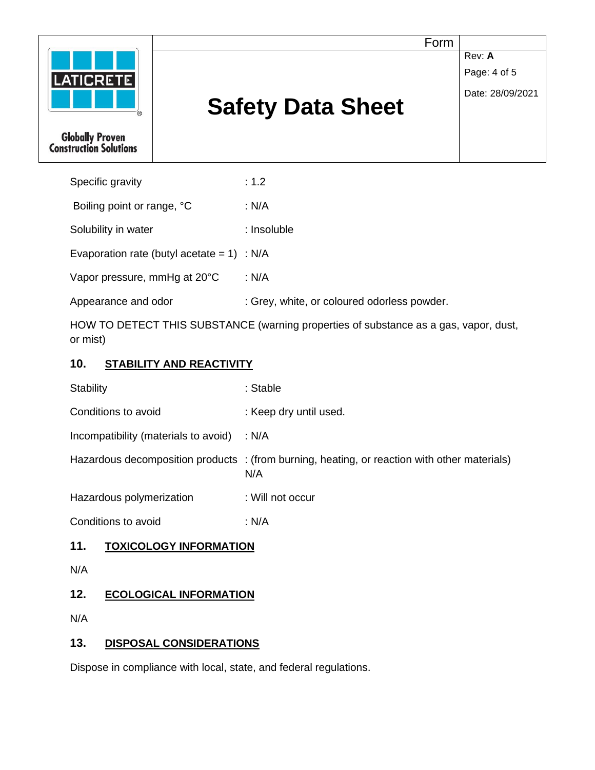

# **Safety Data Sheet**

Form

**Rev: A** 

Page: 4 of 5

Date: 28/09/2021

**Globally Proven<br>Construction Solutions** 

| Boiling point or range, °C<br>: N/A<br>Solubility in water<br>: Insoluble<br>Evaporation rate (butyl acetate = $1$ ) : N/A<br>Vapor pressure, mmHg at 20°C<br>: N/A<br>Appearance and odor | Specific gravity | : 1.2                                       |
|--------------------------------------------------------------------------------------------------------------------------------------------------------------------------------------------|------------------|---------------------------------------------|
|                                                                                                                                                                                            |                  |                                             |
|                                                                                                                                                                                            |                  |                                             |
|                                                                                                                                                                                            |                  |                                             |
|                                                                                                                                                                                            |                  |                                             |
|                                                                                                                                                                                            |                  | : Grey, white, or coloured odorless powder. |

HOW TO DETECT THIS SUBSTANCE (warning properties of substance as a gas, vapor, dust, or mist)

# **10. STABILITY AND REACTIVITY**

| <b>Stability</b>                           | : Stable                                                                                            |
|--------------------------------------------|-----------------------------------------------------------------------------------------------------|
| Conditions to avoid                        | : Keep dry until used.                                                                              |
| Incompatibility (materials to avoid) : N/A |                                                                                                     |
|                                            | Hazardous decomposition products : (from burning, heating, or reaction with other materials)<br>N/A |
| Hazardous polymerization                   | : Will not occur                                                                                    |
| Conditions to avoid                        | : N/A                                                                                               |
|                                            |                                                                                                     |

# **11. TOXICOLOGY INFORMATION**

N/A

# **12. ECOLOGICAL INFORMATION**

N/A

## **13. DISPOSAL CONSIDERATIONS**

Dispose in compliance with local, state, and federal regulations.